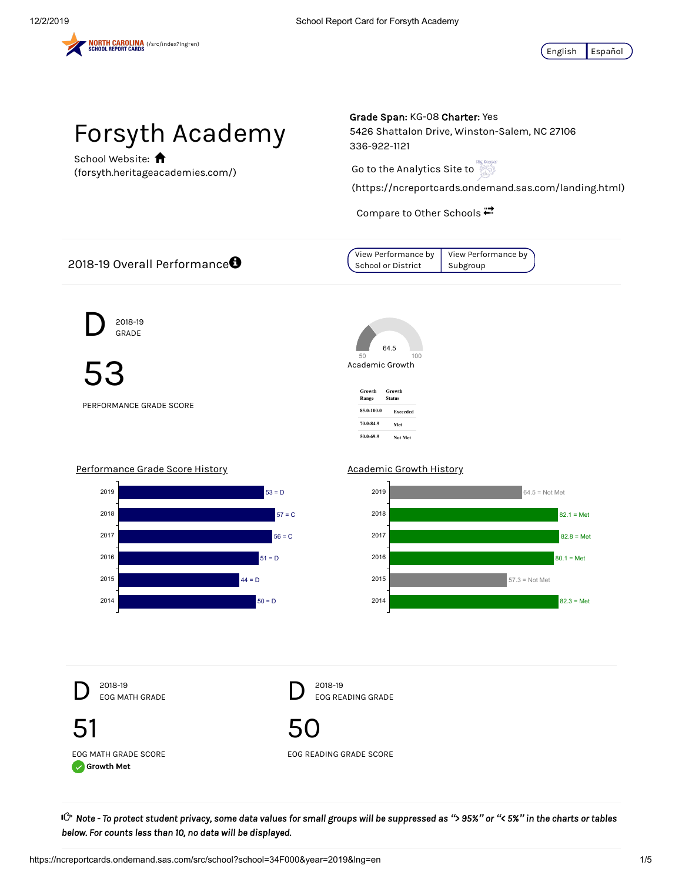



School Website: **A** (forsyth.heritageacademies.com/) Grade Span: KG-08 Charter: Yes

5426 Shattalon Drive, Winston-Salem, NC 27106 336-922-1121

Go to the Analytics Site to

(https://ncreportcards.ondemand.sas.com/landing.html)

Compare to Other Schools



of Note - To protect student privacy, some data values for small groups will be suppressed as "> 95%" or "< 5%" in the charts or tables و Cr *below. For counts less than 10, no data will be displayed.*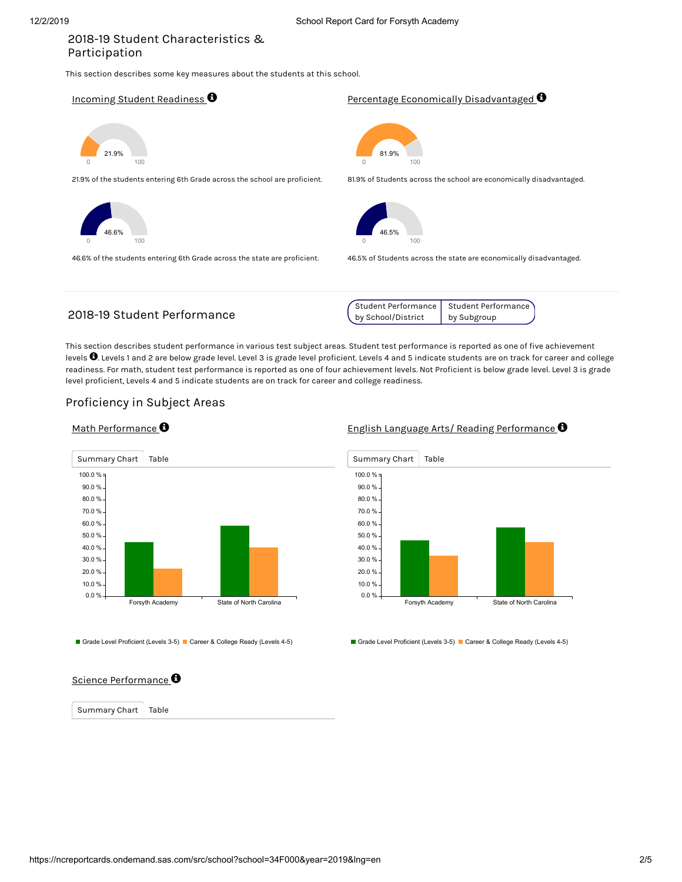# 2018-19 Student Characteristics & Participation

This section describes some key measures about the students at this school.

Incoming Student Readiness  $\bm{\Theta}$ 

0 100 21.9%

21.9% of the students entering 6th Grade across the school are proficient.



46.6% of the students entering 6th Grade across the state are proficient.

<u>Percentage Economically Disadvantaged</u>  $\boldsymbol{\Theta}$ 



81.9% of Students across the school are economically disadvantaged.



46.5% of Students across the state are economically disadvantaged.

# 2018-19 Student Performance

| Student Performance | Student Performance \ |
|---------------------|-----------------------|
| by School/District  | by Subgroup           |

This section describes student performance in various test subject areas. Student test performance is reported as one of five achievement levels  $\bullet$  Levels 1 and 2 are below grade level. Level 3 is grade level proficient. Levels 4 and 5 indicate students are on track for career and college readiness. For math, student test performance is reported as one of four achievement levels. Not Proficient is below grade level. Level 3 is grade level proficient, Levels 4 and 5 indicate students are on track for career and college readiness.

### Proficiency in Subject Areas





Grade Level Proficient (Levels 3-5) Career & College Ready (Levels 4-5)

### English Language Arts/ Reading Performance  $\bullet$



Grade Level Proficient (Levels 3-5) Career & College Ready (Levels 4-5)

### Science Performance  $\boldsymbol{\Theta}$

Summary Chart | Table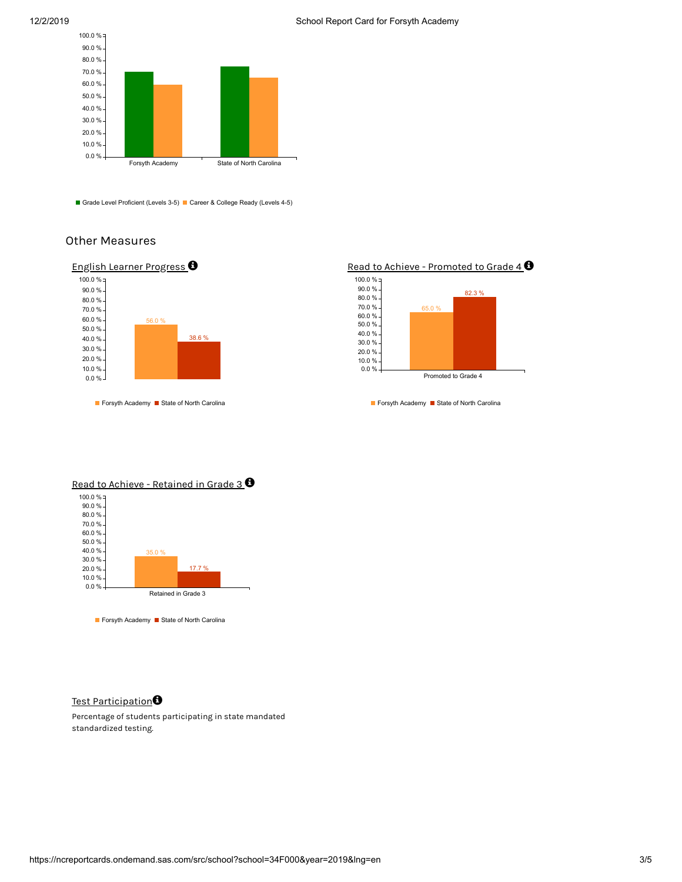



Grade Level Proficient (Levels 3-5) Career & College Ready (Levels 4-5)

# Other Measures



Forsyth Academy Bistate of North Carolina





Forsyth Academy Bistate of North Carolina



Forsyth Academy Bistate of North Carolina

### Test Participation**O**

Percentage of students participating in state mandated standardized testing.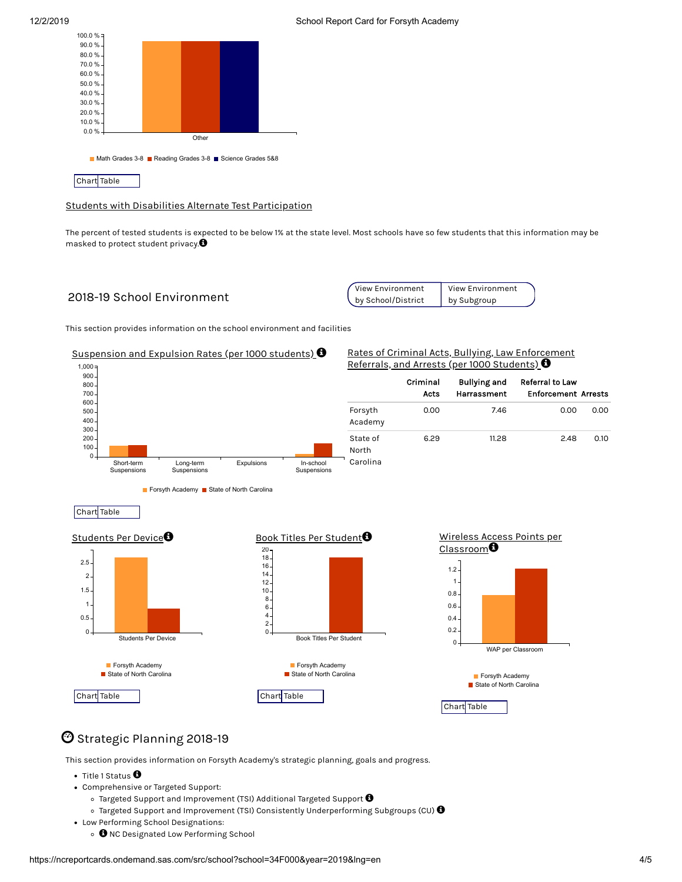



Students with Disabilities Alternate Test Participation

The percent of tested students is expected to be below 1% at the state level. Most schools have so few students that this information may be masked to protect student privacy. $\bm{\Theta}$ 

# 2018-19 School Environment

| View Environment   | <b>View Environment</b> |  |
|--------------------|-------------------------|--|
| by School/District | by Subgroup             |  |

This section provides information on the school environment and facilities



# $\mathbf{\mathfrak{O}}$  Strategic Planning 2018-19

This section provides information on Forsyth Academy's strategic planning, goals and progress.

- Title 1 Status  $\bm{\Theta}$
- Comprehensive or Targeted Support:
	- Targeted Support and Improvement (TSI) Additional Targeted Support  $\bm{\Theta}$
	- Targeted Support and Improvement (TSI) Consistently Underperforming Subgroups (CU)  $\pmb{\Theta}$
- Low Performing School Designations:
	- $\bm{\Theta}$  NC Designated Low Performing School